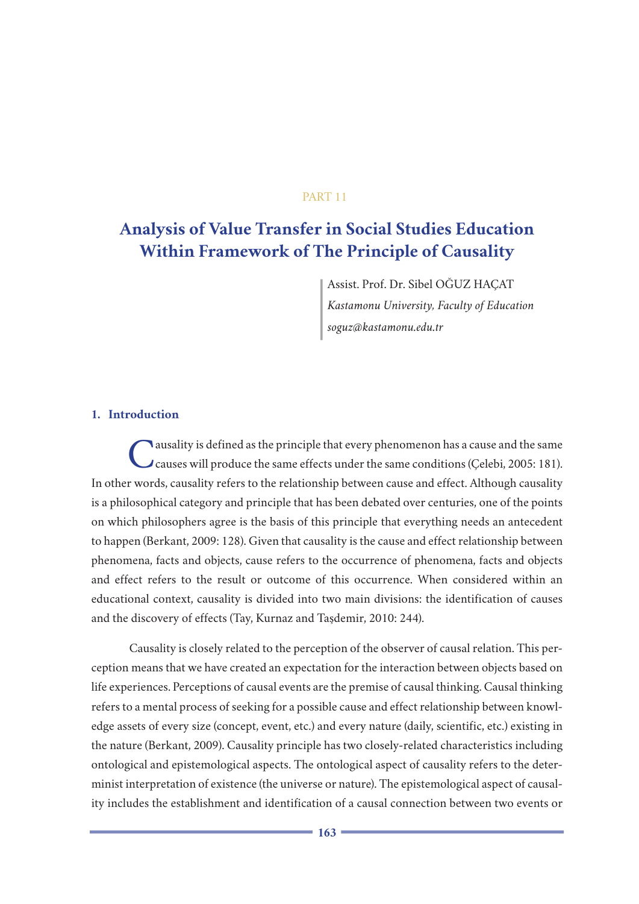## PART 11

# **Analysis of Value Transfer in Social Studies Education Within Framework of The Principle of Causality**

Assist. Prof. Dr. Sibel OĞUZ HAÇAT *Kastamonu University, Faculty of Education soguz@kastamonu.edu.tr*

## **1. Introduction**

Causality is defined as the principle that every phenomenon has a cause and the same causes will produce the same effects under the same conditions (Çelebi, 2005: 181). In other words, causality refers to the relationship between cause and effect. Although causality is a philosophical category and principle that has been debated over centuries, one of the points on which philosophers agree is the basis of this principle that everything needs an antecedent to happen (Berkant, 2009: 128). Given that causality is the cause and effect relationship between phenomena, facts and objects, cause refers to the occurrence of phenomena, facts and objects and effect refers to the result or outcome of this occurrence. When considered within an educational context, causality is divided into two main divisions: the identification of causes and the discovery of effects (Tay, Kurnaz and Taşdemir, 2010: 244).

Causality is closely related to the perception of the observer of causal relation. This perception means that we have created an expectation for the interaction between objects based on life experiences. Perceptions of causal events are the premise of causal thinking. Causal thinking refers to a mental process of seeking for a possible cause and effect relationship between knowledge assets of every size (concept, event, etc.) and every nature (daily, scientific, etc.) existing in the nature (Berkant, 2009). Causality principle has two closely-related characteristics including ontological and epistemological aspects. The ontological aspect of causality refers to the determinist interpretation of existence (the universe or nature). The epistemological aspect of causality includes the establishment and identification of a causal connection between two events or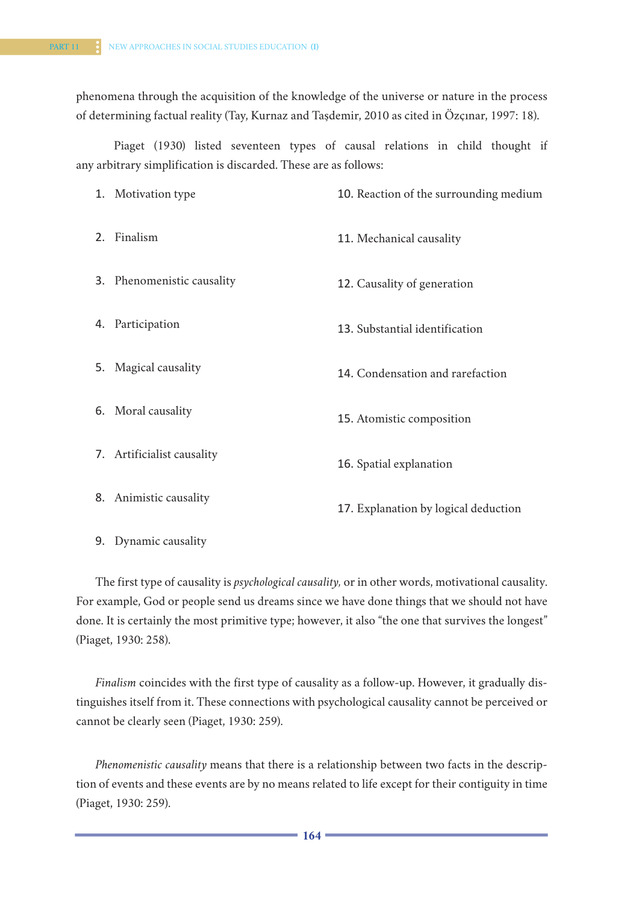phenomena through the acquisition of the knowledge of the universe or nature in the process of determining factual reality (Tay, Kurnaz and Taşdemir, 2010 as cited in Özçınar, 1997: 18).

Piaget (1930) listed seventeen types of causal relations in child thought if any arbitrary simplification is discarded. These are as follows:

| 1. Motivation type         | 10. Reaction of the surrounding medium |
|----------------------------|----------------------------------------|
| 2. Finalism                | 11. Mechanical causality               |
| 3. Phenomenistic causality | 12. Causality of generation            |
| 4. Participation           | 13. Substantial identification         |
| 5. Magical causality       | 14. Condensation and rarefaction       |
| 6. Moral causality         | 15. Atomistic composition              |
| 7. Artificialist causality | 16. Spatial explanation                |
| 8. Animistic causality     | 17. Explanation by logical deduction   |
| 9. Dynamic causality       |                                        |

The first type of causality is *psychological causality,* or in other words, motivational causality. For example, God or people send us dreams since we have done things that we should not have done. It is certainly the most primitive type; however, it also "the one that survives the longest" (Piaget, 1930: 258).

*Finalism* coincides with the first type of causality as a follow-up. However, it gradually distinguishes itself from it. These connections with psychological causality cannot be perceived or cannot be clearly seen (Piaget, 1930: 259).

*Phenomenistic causality* means that there is a relationship between two facts in the description of events and these events are by no means related to life except for their contiguity in time (Piaget, 1930: 259).

**164 165**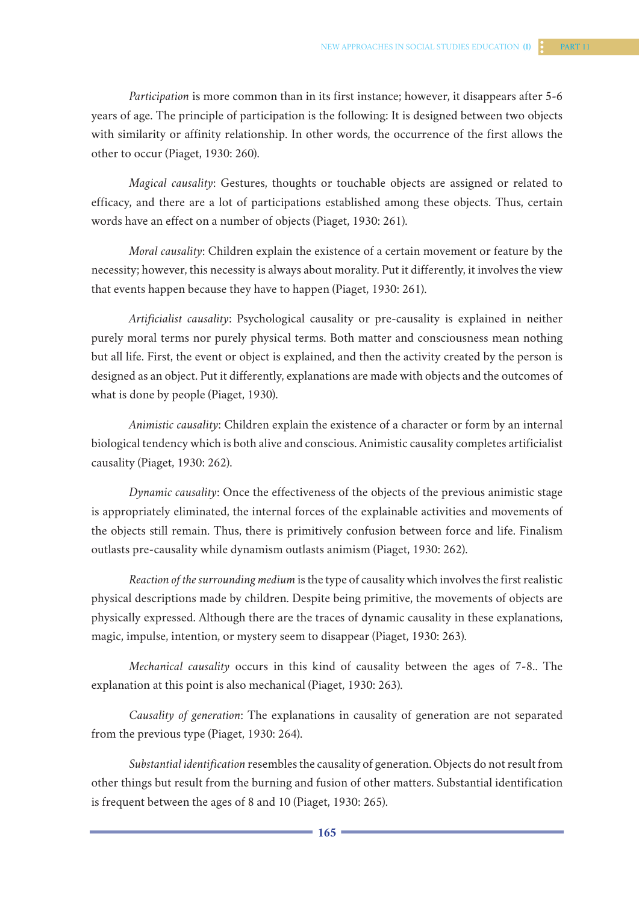*Participation* is more common than in its first instance; however, it disappears after 5-6 years of age. The principle of participation is the following: It is designed between two objects with similarity or affinity relationship. In other words, the occurrence of the first allows the other to occur (Piaget, 1930: 260).

*Magical causality*: Gestures, thoughts or touchable objects are assigned or related to efficacy, and there are a lot of participations established among these objects. Thus, certain words have an effect on a number of objects (Piaget, 1930: 261).

*Moral causality*: Children explain the existence of a certain movement or feature by the necessity; however, this necessity is always about morality. Put it differently, it involves the view that events happen because they have to happen (Piaget, 1930: 261).

*Artificialist causality*: Psychological causality or pre-causality is explained in neither purely moral terms nor purely physical terms. Both matter and consciousness mean nothing but all life. First, the event or object is explained, and then the activity created by the person is designed as an object. Put it differently, explanations are made with objects and the outcomes of what is done by people (Piaget, 1930).

*Animistic causality*: Children explain the existence of a character or form by an internal biological tendency which is both alive and conscious. Animistic causality completes artificialist causality (Piaget, 1930: 262).

*Dynamic causality*: Once the effectiveness of the objects of the previous animistic stage is appropriately eliminated, the internal forces of the explainable activities and movements of the objects still remain. Thus, there is primitively confusion between force and life. Finalism outlasts pre-causality while dynamism outlasts animism (Piaget, 1930: 262).

*Reaction of the surrounding medium* is the type of causality which involves the first realistic physical descriptions made by children. Despite being primitive, the movements of objects are physically expressed. Although there are the traces of dynamic causality in these explanations, magic, impulse, intention, or mystery seem to disappear (Piaget, 1930: 263).

*Mechanical causality* occurs in this kind of causality between the ages of 7-8.. The explanation at this point is also mechanical (Piaget, 1930: 263).

*Causality of generation*: The explanations in causality of generation are not separated from the previous type (Piaget, 1930: 264).

*Substantial identification* resembles the causality of generation. Objects do not result from other things but result from the burning and fusion of other matters. Substantial identification is frequent between the ages of 8 and 10 (Piaget, 1930: 265).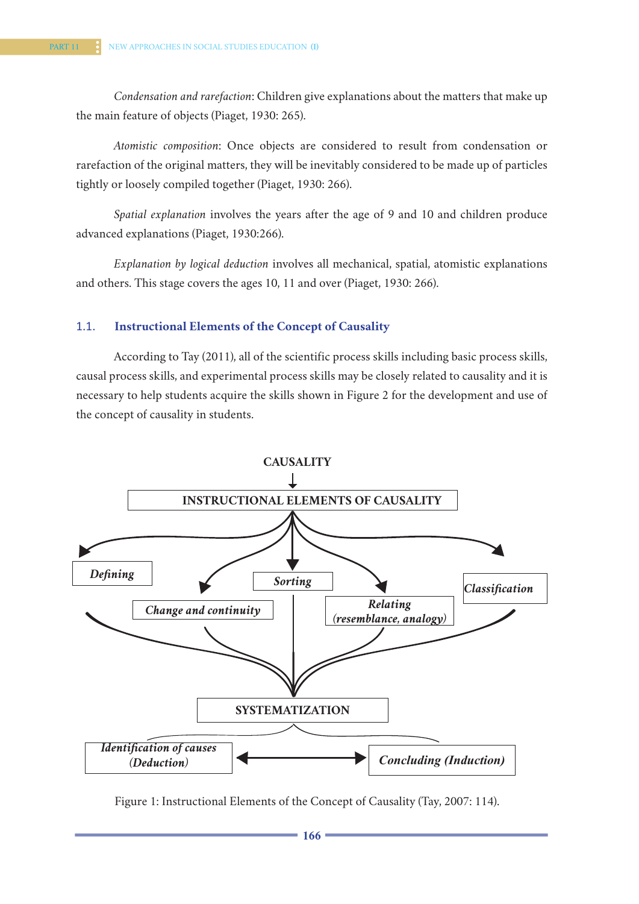*Condensation and rarefaction*: Children give explanations about the matters that make up the main feature of objects (Piaget, 1930: 265).

*Atomistic composition*: Once objects are considered to result from condensation or rarefaction of the original matters, they will be inevitably considered to be made up of particles tightly or loosely compiled together (Piaget, 1930: 266).

*Spatial explanation* involves the years after the age of 9 and 10 and children produce advanced explanations (Piaget, 1930:266).

*Explanation by logical deduction* involves all mechanical, spatial, atomistic explanations and others. This stage covers the ages 10, 11 and over (Piaget, 1930: 266).

# 1.1. **Instructional Elements of the Concept of Causality**

According to Tay (2011), all of the scientific process skills including basic process skills, causal process skills, and experimental process skills may be closely related to causality and it is necessary to help students acquire the skills shown in Figure 2 for the development and use of the concept of causality in students.



Figure 1: Instructional Elements of the Concept of Causality (Tay, 2007: 114).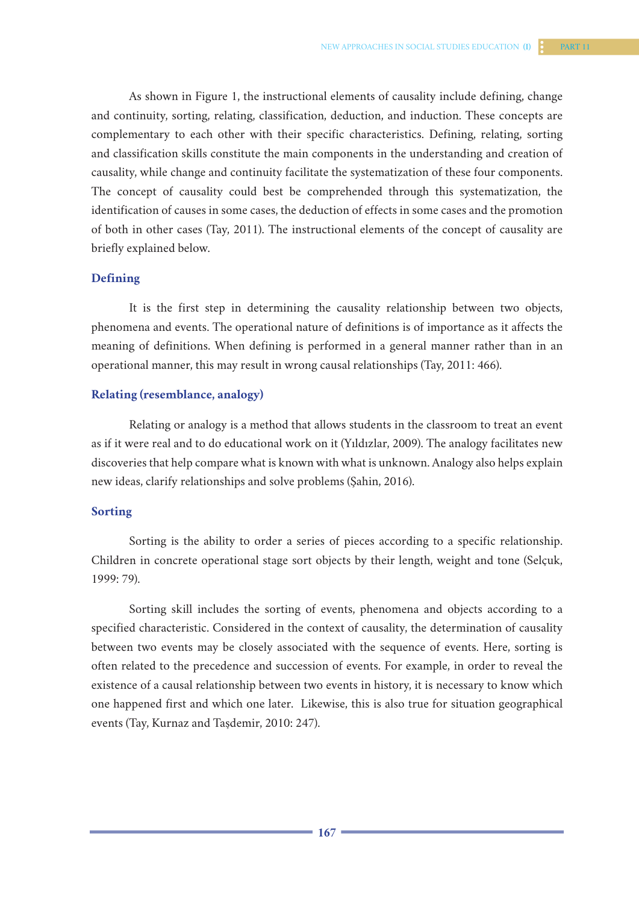As shown in Figure 1, the instructional elements of causality include defining, change and continuity, sorting, relating, classification, deduction, and induction. These concepts are complementary to each other with their specific characteristics. Defining, relating, sorting and classification skills constitute the main components in the understanding and creation of causality, while change and continuity facilitate the systematization of these four components. The concept of causality could best be comprehended through this systematization, the identification of causes in some cases, the deduction of effects in some cases and the promotion of both in other cases (Tay, 2011). The instructional elements of the concept of causality are briefly explained below.

### **Defining**

It is the first step in determining the causality relationship between two objects, phenomena and events. The operational nature of definitions is of importance as it affects the meaning of definitions. When defining is performed in a general manner rather than in an operational manner, this may result in wrong causal relationships (Tay, 2011: 466).

### **Relating (resemblance, analogy)**

Relating or analogy is a method that allows students in the classroom to treat an event as if it were real and to do educational work on it (Yıldızlar, 2009). The analogy facilitates new discoveries that help compare what is known with what is unknown. Analogy also helps explain new ideas, clarify relationships and solve problems (Şahin, 2016).

## **Sorting**

Sorting is the ability to order a series of pieces according to a specific relationship. Children in concrete operational stage sort objects by their length, weight and tone (Selçuk, 1999: 79).

Sorting skill includes the sorting of events, phenomena and objects according to a specified characteristic. Considered in the context of causality, the determination of causality between two events may be closely associated with the sequence of events. Here, sorting is often related to the precedence and succession of events. For example, in order to reveal the existence of a causal relationship between two events in history, it is necessary to know which one happened first and which one later. Likewise, this is also true for situation geographical events (Tay, Kurnaz and Taşdemir, 2010: 247).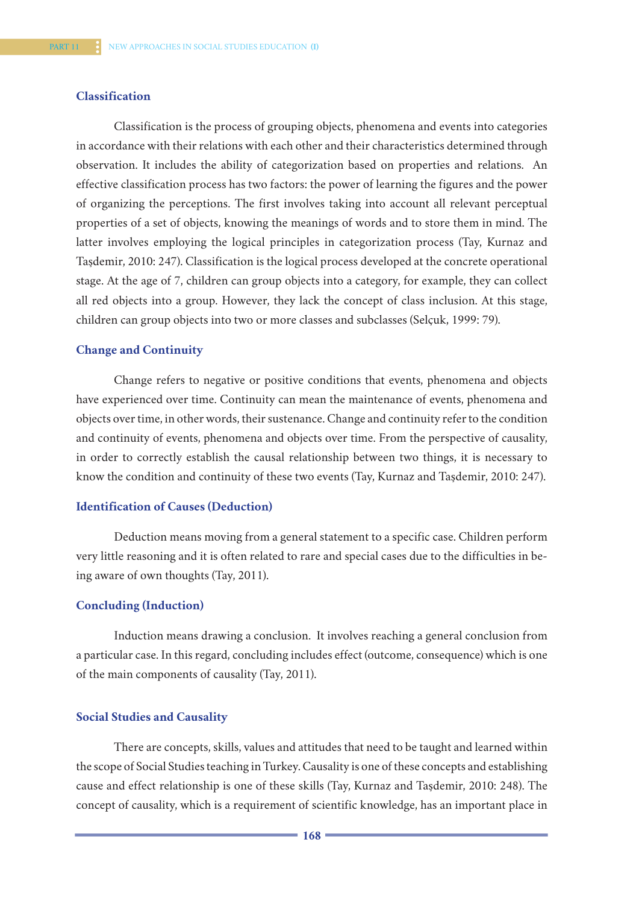## **Classification**

Classification is the process of grouping objects, phenomena and events into categories in accordance with their relations with each other and their characteristics determined through observation. It includes the ability of categorization based on properties and relations. An effective classification process has two factors: the power of learning the figures and the power of organizing the perceptions. The first involves taking into account all relevant perceptual properties of a set of objects, knowing the meanings of words and to store them in mind. The latter involves employing the logical principles in categorization process (Tay, Kurnaz and Taşdemir, 2010: 247). Classification is the logical process developed at the concrete operational stage. At the age of 7, children can group objects into a category, for example, they can collect all red objects into a group. However, they lack the concept of class inclusion. At this stage, children can group objects into two or more classes and subclasses (Selçuk, 1999: 79).

#### **Change and Continuity**

Change refers to negative or positive conditions that events, phenomena and objects have experienced over time. Continuity can mean the maintenance of events, phenomena and objects over time, in other words, their sustenance. Change and continuity refer to the condition and continuity of events, phenomena and objects over time. From the perspective of causality, in order to correctly establish the causal relationship between two things, it is necessary to know the condition and continuity of these two events (Tay, Kurnaz and Taşdemir, 2010: 247).

#### **Identification of Causes (Deduction)**

Deduction means moving from a general statement to a specific case. Children perform very little reasoning and it is often related to rare and special cases due to the difficulties in being aware of own thoughts (Tay, 2011).

## **Concluding (Induction)**

Induction means drawing a conclusion. It involves reaching a general conclusion from a particular case. In this regard, concluding includes effect (outcome, consequence) which is one of the main components of causality (Tay, 2011).

#### **Social Studies and Causality**

There are concepts, skills, values and attitudes that need to be taught and learned within the scope of Social Studies teaching in Turkey. Causality is one of these concepts and establishing cause and effect relationship is one of these skills (Tay, Kurnaz and Taşdemir, 2010: 248). The concept of causality, which is a requirement of scientific knowledge, has an important place in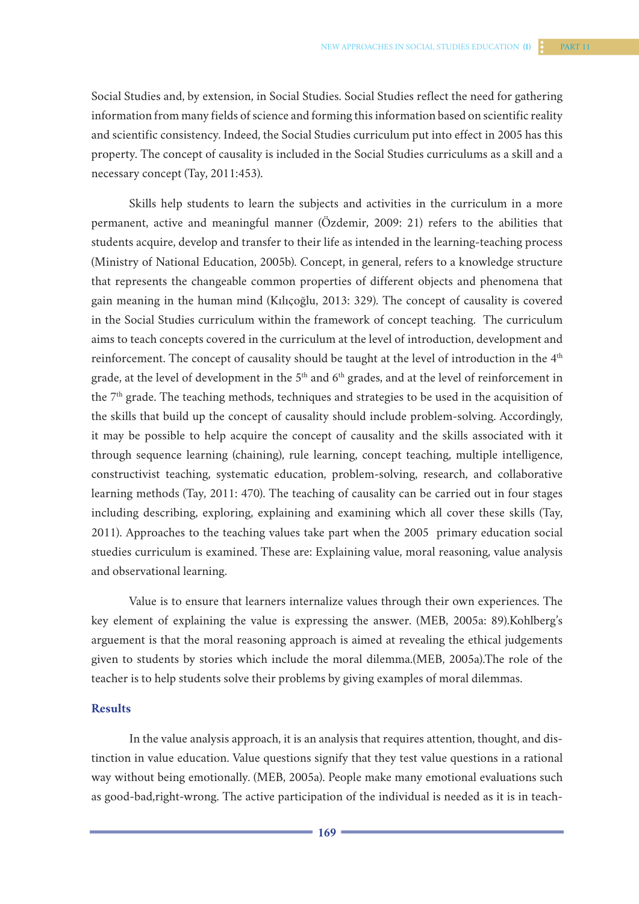Social Studies and, by extension, in Social Studies. Social Studies reflect the need for gathering information from many fields of science and forming this information based on scientific reality and scientific consistency. Indeed, the Social Studies curriculum put into effect in 2005 has this property. The concept of causality is included in the Social Studies curriculums as a skill and a necessary concept (Tay, 2011:453).

Skills help students to learn the subjects and activities in the curriculum in a more permanent, active and meaningful manner (Özdemir, 2009: 21) refers to the abilities that students acquire, develop and transfer to their life as intended in the learning-teaching process (Ministry of National Education, 2005b). Concept, in general, refers to a knowledge structure that represents the changeable common properties of different objects and phenomena that gain meaning in the human mind (Kılıçoğlu, 2013: 329). The concept of causality is covered in the Social Studies curriculum within the framework of concept teaching. The curriculum aims to teach concepts covered in the curriculum at the level of introduction, development and reinforcement. The concept of causality should be taught at the level of introduction in the 4<sup>th</sup> grade, at the level of development in the 5<sup>th</sup> and 6<sup>th</sup> grades, and at the level of reinforcement in the  $7<sup>th</sup>$  grade. The teaching methods, techniques and strategies to be used in the acquisition of the skills that build up the concept of causality should include problem-solving. Accordingly, it may be possible to help acquire the concept of causality and the skills associated with it through sequence learning (chaining), rule learning, concept teaching, multiple intelligence, constructivist teaching, systematic education, problem-solving, research, and collaborative learning methods (Tay, 2011: 470). The teaching of causality can be carried out in four stages including describing, exploring, explaining and examining which all cover these skills (Tay, 2011). Approaches to the teaching values take part when the 2005 primary education social stuedies curriculum is examined. These are: Explaining value, moral reasoning, value analysis and observational learning.

Value is to ensure that learners internalize values through their own experiences. The key element of explaining the value is expressing the answer. (MEB, 2005a: 89).Kohlberg's arguement is that the moral reasoning approach is aimed at revealing the ethical judgements given to students by stories which include the moral dilemma.(MEB, 2005a).The role of the teacher is to help students solve their problems by giving examples of moral dilemmas.

#### **Results**

In the value analysis approach, it is an analysis that requires attention, thought, and distinction in value education. Value questions signify that they test value questions in a rational way without being emotionally. (MEB, 2005a). People make many emotional evaluations such as good-bad,right-wrong. The active participation of the individual is needed as it is in teach-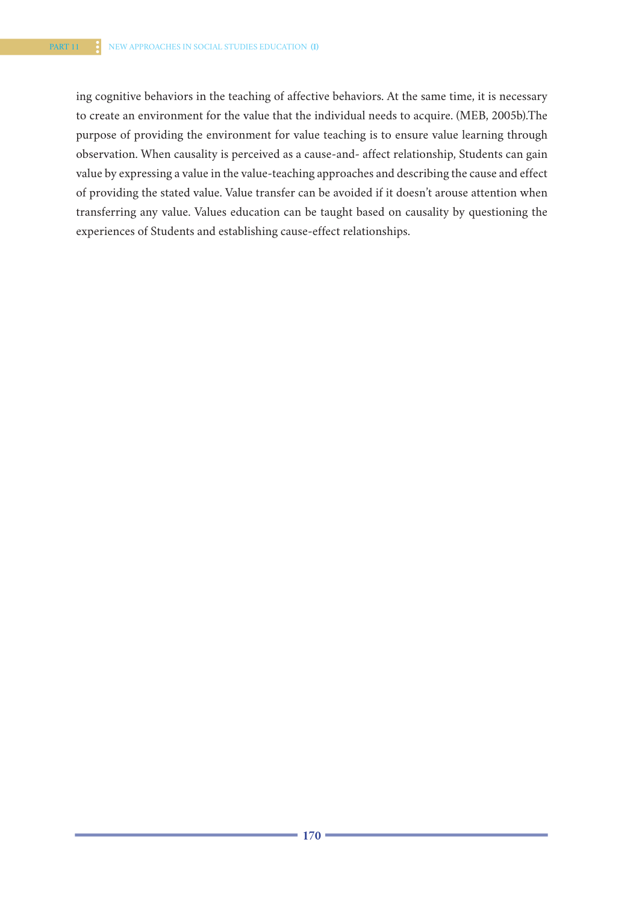ing cognitive behaviors in the teaching of affective behaviors. At the same time, it is necessary to create an environment for the value that the individual needs to acquire. (MEB, 2005b).The purpose of providing the environment for value teaching is to ensure value learning through observation. When causality is perceived as a cause-and- affect relationship, Students can gain value by expressing a value in the value-teaching approaches and describing the cause and effect of providing the stated value. Value transfer can be avoided if it doesn't arouse attention when transferring any value. Values education can be taught based on causality by questioning the experiences of Students and establishing cause-effect relationships.